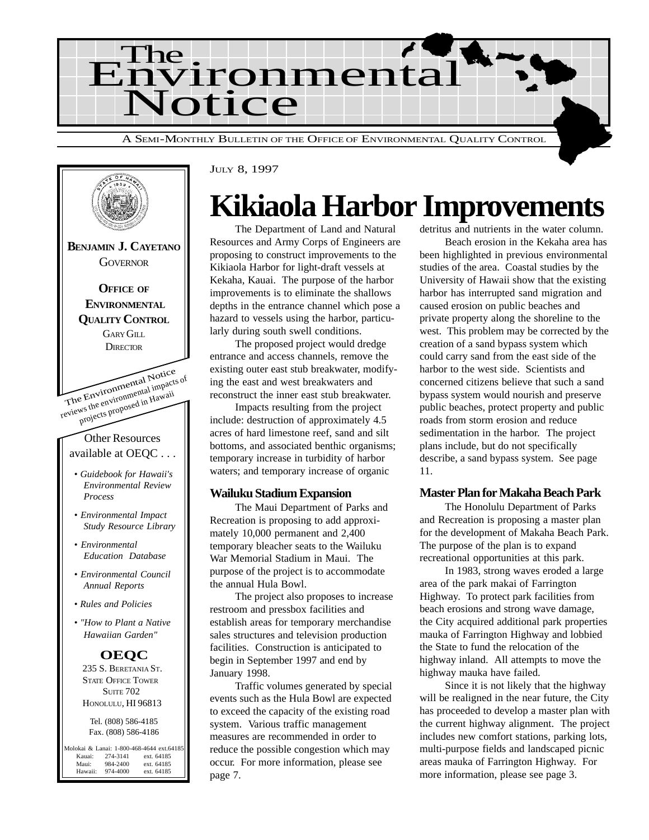

![](_page_0_Picture_1.jpeg)

#### JULY 8, 1997

# **Kikiaola Harbor Improvements**

The Department of Land and Natural Resources and Army Corps of Engineers are proposing to construct improvements to the Kikiaola Harbor for light-draft vessels at Kekaha, Kauai. The purpose of the harbor improvements is to eliminate the shallows depths in the entrance channel which pose a hazard to vessels using the harbor, particularly during south swell conditions.

The proposed project would dredge entrance and access channels, remove the existing outer east stub breakwater, modifying the east and west breakwaters and reconstruct the inner east stub breakwater.

Impacts resulting from the project include: destruction of approximately 4.5 acres of hard limestone reef, sand and silt bottoms, and associated benthic organisms; temporary increase in turbidity of harbor waters; and temporary increase of organic

### **Wailuku Stadium Expansion**

The Maui Department of Parks and Recreation is proposing to add approximately 10,000 permanent and 2,400 temporary bleacher seats to the Wailuku War Memorial Stadium in Maui. The purpose of the project is to accommodate the annual Hula Bowl.

The project also proposes to increase restroom and pressbox facilities and establish areas for temporary merchandise sales structures and television production facilities. Construction is anticipated to begin in September 1997 and end by January 1998.

Traffic volumes generated by special events such as the Hula Bowl are expected to exceed the capacity of the existing road system. Various traffic management measures are recommended in order to reduce the possible congestion which may occur. For more information, please see page 7.

detritus and nutrients in the water column.

Beach erosion in the Kekaha area has been highlighted in previous environmental studies of the area. Coastal studies by the University of Hawaii show that the existing harbor has interrupted sand migration and caused erosion on public beaches and private property along the shoreline to the west. This problem may be corrected by the creation of a sand bypass system which could carry sand from the east side of the harbor to the west side. Scientists and concerned citizens believe that such a sand bypass system would nourish and preserve public beaches, protect property and public roads from storm erosion and reduce sedimentation in the harbor. The project plans include, but do not specifically describe, a sand bypass system. See page 11.

### **Master Plan for Makaha Beach Park**

The Honolulu Department of Parks and Recreation is proposing a master plan for the development of Makaha Beach Park. The purpose of the plan is to expand recreational opportunities at this park.

In 1983, strong waves eroded a large area of the park makai of Farrington Highway. To protect park facilities from beach erosions and strong wave damage, the City acquired additional park properties mauka of Farrington Highway and lobbied the State to fund the relocation of the highway inland. All attempts to move the highway mauka have failed.

Since it is not likely that the highway will be realigned in the near future, the City has proceeded to develop a master plan with the current highway alignment. The project includes new comfort stations, parking lots, multi-purpose fields and landscaped picnic areas mauka of Farrington Highway. For more information, please see page 3.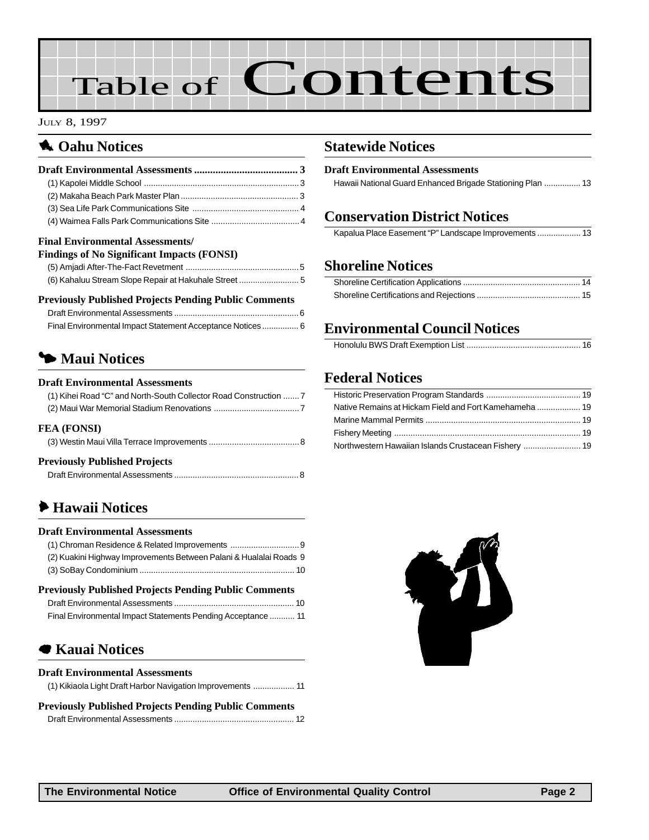# Table of Contents

### JULY 8, 1997

### **1** Oahu Notices

### **Final Environmental Assessments/**

| <b>Findings of No Significant Impacts (FONSI)</b>     |  |
|-------------------------------------------------------|--|
|                                                       |  |
| (6) Kahaluu Stream Slope Repair at Hakuhale Street  5 |  |

### **Previously Published Projects Pending Public Comments**

| Final Environmental Impact Statement Acceptance Notices 6 |  |
|-----------------------------------------------------------|--|

# **5 Maui Notices**

#### **Draft Environmental Assessments**

| (1) Kihei Road "C" and North-South Collector Road Construction  7 |  |
|-------------------------------------------------------------------|--|
|                                                                   |  |
| FEA (FONSI)                                                       |  |

### **Previously Published Projects**

# 6 **Hawaii Notices**

### **Draft Environmental Assessments**

| (2) Kuakini Highway Improvements Between Palani & Hualalai Roads 9 |  |
|--------------------------------------------------------------------|--|
|                                                                    |  |
| <b>Previously Published Projects Pending Public Comments</b>       |  |
|                                                                    |  |

| Final Environmental Impact Statements Pending Acceptance  11 |  |
|--------------------------------------------------------------|--|
|                                                              |  |

### 7 **[Kauai Notices](#page-10-0)**

### **Draft Environmental Assessments** [\(1\) Kikiaola Light Draft Harbor Navigation Improvements .................. 11](#page-10-0)

### **Previously Published Projects Pending Public Comments**

|--|

### **Statewide Notices**

### **Draft Environmental Assessments**

[Hawaii National Guard Enhanced Brigade Stationing Plan ................ 13](#page-12-0)

### **Conservation District Notices**

| Kapalua Place Easement "P" Landscape Improvements  13 |  |
|-------------------------------------------------------|--|
|-------------------------------------------------------|--|

### **Shoreline Notices**

### **Environmental Council Notices**

### **Federal Notices**

| Native Remains at Hickam Field and Fort Kamehameha  19 |  |
|--------------------------------------------------------|--|
|                                                        |  |
|                                                        |  |
| Northwestern Hawaiian Islands Crustacean Fishery  19   |  |

![](_page_1_Picture_32.jpeg)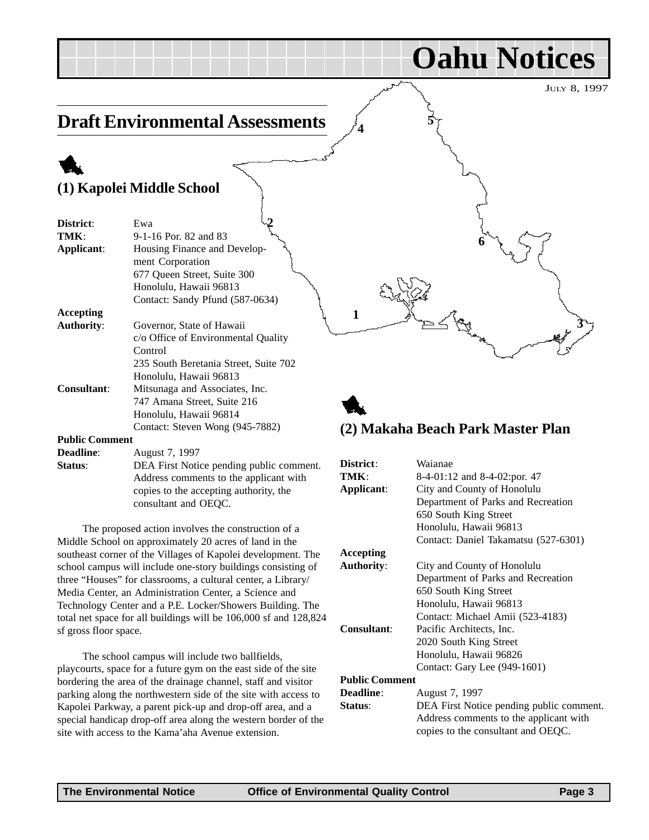#### JULY 8, 1997

**3**

**Oahu Notices**

# <span id="page-2-0"></span>**Draft Environmental Assessments**

# 1

**(1) Kapolei Middle School**

| District:             | Ewa                                   |
|-----------------------|---------------------------------------|
| TMK:                  | 9-1-16 Por. 82 and 83                 |
| Applicant:            | Housing Finance and Develop-          |
|                       | ment Corporation                      |
|                       | 677 Queen Street, Suite 300           |
|                       | Honolulu, Hawaii 96813                |
|                       | Contact: Sandy Pfund (587-0634)       |
| Accepting             |                                       |
| <b>Authority:</b>     | Governor, State of Hawaii             |
|                       | c/o Office of Environmental Quality   |
|                       | Control                               |
|                       | 235 South Beretania Street, Suite 702 |
|                       | Honolulu, Hawaii 96813                |
| <b>Consultant:</b>    | Mitsunaga and Associates, Inc.        |
|                       | 747 Amana Street, Suite 216           |
|                       | Honolulu, Hawaii 96814                |
|                       | Contact: Steven Wong (945-7882)       |
| <b>Public Comment</b> |                                       |
| <b>Deadline:</b>      | August 7, 1997                        |

**Status**: DEA First Notice pending public comment. Address comments to the applicant with copies to the accepting authority, the consultant and OEQC.

The proposed action involves the construction of a Middle School on approximately 20 acres of land in the southeast corner of the Villages of Kapolei development. The school campus will include one-story buildings consisting of three "Houses" for classrooms, a cultural center, a Library/ Media Center, an Administration Center, a Science and Technology Center and a P.E. Locker/Showers Building. The total net space for all buildings will be 106,000 sf and 128,824 sf gross floor space.

The school campus will include two ballfields, playcourts, space for a future gym on the east side of the site bordering the area of the drainage channel, staff and visitor parking along the northwestern side of the site with access to Kapolei Parkway, a parent pick-up and drop-off area, and a special handicap drop-off area along the western border of the site with access to the Kama'aha Avenue extension.

![](_page_2_Picture_8.jpeg)

**6**

### **(2) Makaha Beach Park Master Plan**

| District:             | Waianae                                  |
|-----------------------|------------------------------------------|
| TMK:                  | 8-4-01:12 and 8-4-02:por. 47             |
| Applicant:            | City and County of Honolulu              |
|                       | Department of Parks and Recreation       |
|                       | 650 South King Street                    |
|                       | Honolulu, Hawaii 96813                   |
|                       | Contact: Daniel Takamatsu (527-6301)     |
| Accepting             |                                          |
| <b>Authority:</b>     | City and County of Honolulu              |
|                       | Department of Parks and Recreation       |
|                       | 650 South King Street                    |
|                       | Honolulu, Hawaii 96813                   |
|                       | Contact: Michael Amii (523-4183)         |
| Consultant:           | Pacific Architects, Inc.                 |
|                       | 2020 South King Street                   |
|                       | Honolulu, Hawaii 96826                   |
|                       | Contact: Gary Lee (949-1601)             |
| <b>Public Comment</b> |                                          |
| <b>Deadline:</b>      | August 7, 1997                           |
| Status:               | DEA First Notice pending public comment. |
|                       | Address comments to the applicant with   |
|                       | copies to the consultant and OEQC.       |

**1**

**4**

**5**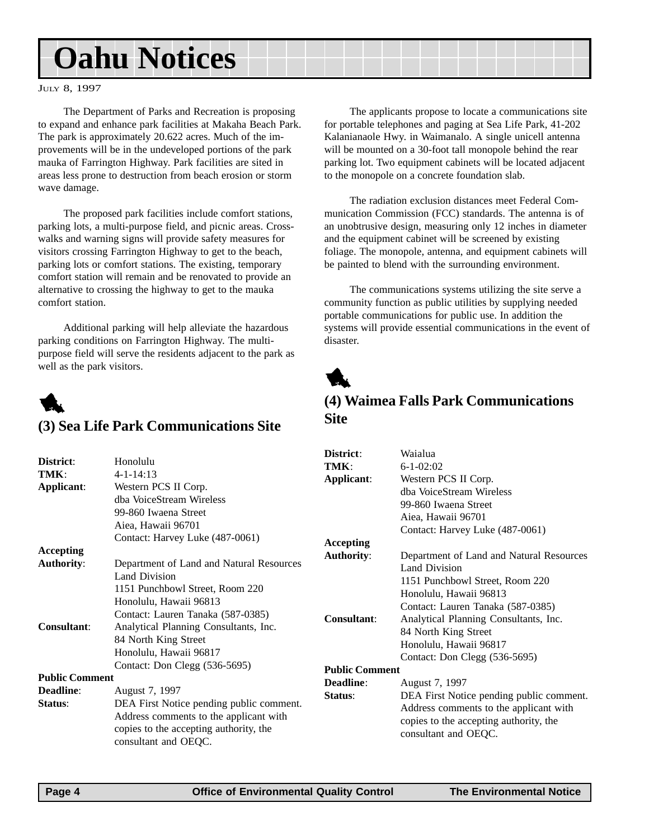# <span id="page-3-0"></span>**Oahu Notices**

#### JULY 8, 1997

The Department of Parks and Recreation is proposing to expand and enhance park facilities at Makaha Beach Park. The park is approximately 20.622 acres. Much of the improvements will be in the undeveloped portions of the park mauka of Farrington Highway. Park facilities are sited in areas less prone to destruction from beach erosion or storm wave damage.

The proposed park facilities include comfort stations, parking lots, a multi-purpose field, and picnic areas. Crosswalks and warning signs will provide safety measures for visitors crossing Farrington Highway to get to the beach, parking lots or comfort stations. The existing, temporary comfort station will remain and be renovated to provide an alternative to crossing the highway to get to the mauka comfort station.

Additional parking will help alleviate the hazardous parking conditions on Farrington Highway. The multipurpose field will serve the residents adjacent to the park as well as the park visitors.

![](_page_3_Picture_5.jpeg)

### **(3) Sea Life Park Communications Site**

The applicants propose to locate a communications site for portable telephones and paging at Sea Life Park, 41-202 Kalanianaole Hwy. in Waimanalo. A single unicell antenna will be mounted on a 30-foot tall monopole behind the rear parking lot. Two equipment cabinets will be located adjacent to the monopole on a concrete foundation slab.

The radiation exclusion distances meet Federal Communication Commission (FCC) standards. The antenna is of an unobtrusive design, measuring only 12 inches in diameter and the equipment cabinet will be screened by existing foliage. The monopole, antenna, and equipment cabinets will be painted to blend with the surrounding environment.

The communications systems utilizing the site serve a community function as public utilities by supplying needed portable communications for public use. In addition the systems will provide essential communications in the event of disaster.

![](_page_3_Picture_10.jpeg)

### **(4) Waimea Falls Park Communications Site**

| District:<br>TMK:<br>Applicant:         | Honolulu<br>$4 - 1 - 14:13$<br>Western PCS II Corp.<br>dba VoiceStream Wireless<br>99-860 Iwaena Street<br>Aiea, Hawaii 96701<br>Contact: Harvey Luke (487-0061)                                                                                                                               | District:<br>TMK:<br>Applicant:<br><b>Accepting</b> | Waialua<br>$6 - 1 - 02:02$<br>Western PCS II Corp.<br>dba VoiceStream Wireless<br>99-860 Iwaena Street<br>Aiea, Hawaii 96701<br>Contact: Harvey Luke (487-0061)                                                                                    |
|-----------------------------------------|------------------------------------------------------------------------------------------------------------------------------------------------------------------------------------------------------------------------------------------------------------------------------------------------|-----------------------------------------------------|----------------------------------------------------------------------------------------------------------------------------------------------------------------------------------------------------------------------------------------------------|
| <b>Accepting</b>                        |                                                                                                                                                                                                                                                                                                | <b>Authority:</b>                                   | Department of Land and Natural Resources                                                                                                                                                                                                           |
| <b>Authority:</b><br><b>Consultant:</b> | Department of Land and Natural Resources<br><b>Land Division</b><br>1151 Punchbowl Street, Room 220<br>Honolulu, Hawaii 96813<br>Contact: Lauren Tanaka (587-0385)<br>Analytical Planning Consultants, Inc.<br>84 North King Street<br>Honolulu, Hawaii 96817<br>Contact: Don Clegg (536-5695) | <b>Consultant:</b><br><b>Public Comment</b>         | <b>Land Division</b><br>1151 Punchbowl Street, Room 220<br>Honolulu, Hawaii 96813<br>Contact: Lauren Tanaka (587-0385)<br>Analytical Planning Consultants, Inc.<br>84 North King Street<br>Honolulu, Hawaii 96817<br>Contact: Don Clegg (536-5695) |
| <b>Public Comment</b>                   |                                                                                                                                                                                                                                                                                                | <b>Deadline:</b>                                    | August 7, 1997                                                                                                                                                                                                                                     |
| <b>Deadline:</b><br>Status:             | August 7, 1997<br>DEA First Notice pending public comment.<br>Address comments to the applicant with<br>copies to the accepting authority, the<br>consultant and OEQC.                                                                                                                         | Status:                                             | DEA First Notice pending public comment.<br>Address comments to the applicant with<br>copies to the accepting authority, the<br>consultant and OEQC.                                                                                               |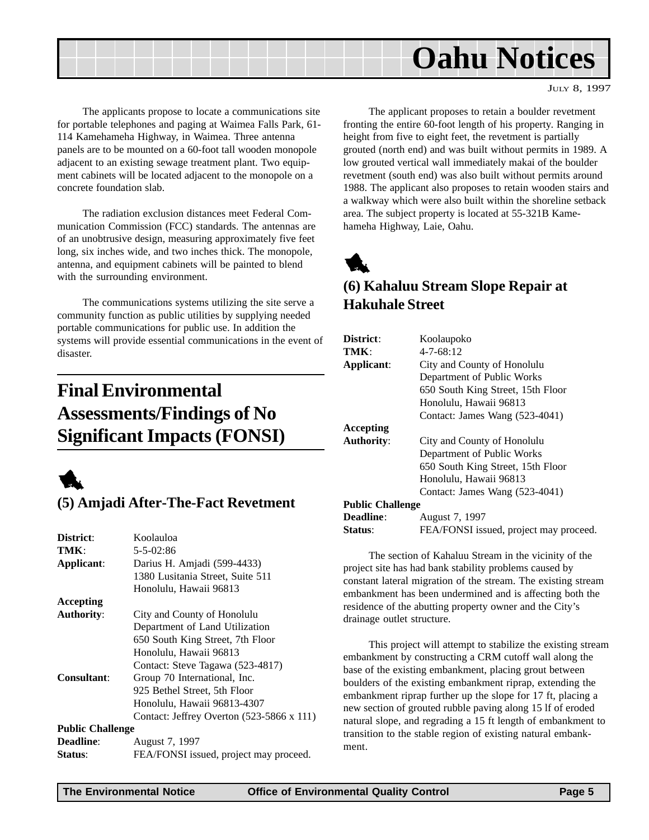<span id="page-4-0"></span>![](_page_4_Picture_0.jpeg)

JULY 8, 1997

The applicants propose to locate a communications site for portable telephones and paging at Waimea Falls Park, 61- 114 Kamehameha Highway, in Waimea. Three antenna panels are to be mounted on a 60-foot tall wooden monopole adjacent to an existing sewage treatment plant. Two equipment cabinets will be located adjacent to the monopole on a concrete foundation slab.

The radiation exclusion distances meet Federal Communication Commission (FCC) standards. The antennas are of an unobtrusive design, measuring approximately five feet long, six inches wide, and two inches thick. The monopole, antenna, and equipment cabinets will be painted to blend with the surrounding environment.

The communications systems utilizing the site serve a community function as public utilities by supplying needed portable communications for public use. In addition the systems will provide essential communications in the event of disaster.

# **Final Environmental Assessments/Findings of No Significant Impacts (FONSI)**

![](_page_4_Picture_6.jpeg)

### **(5) Amjadi After-The-Fact Revetment**

| District:               | Koolauloa                                        |
|-------------------------|--------------------------------------------------|
| TMK:                    | $5 - 5 - 02:86$                                  |
| Applicant:              | Darius H. Amjadi (599-4433)                      |
|                         | 1380 Lusitania Street, Suite 511                 |
|                         | Honolulu, Hawaii 96813                           |
| Accepting               |                                                  |
| <b>Authority:</b>       | City and County of Honolulu                      |
|                         | Department of Land Utilization                   |
|                         | 650 South King Street, 7th Floor                 |
|                         | Honolulu, Hawaii 96813                           |
|                         | Contact: Steve Tagawa (523-4817)                 |
| Consultant:             | Group 70 International, Inc.                     |
|                         | 925 Bethel Street, 5th Floor                     |
|                         | Honolulu, Hawaii 96813-4307                      |
|                         | Contact: Jeffrey Overton $(523-5866 \times 111)$ |
| <b>Public Challenge</b> |                                                  |
| <b>Deadline:</b>        | August 7, 1997                                   |
| Status:                 | FEA/FONSI issued, project may proceed.           |

The applicant proposes to retain a boulder revetment fronting the entire 60-foot length of his property. Ranging in height from five to eight feet, the revetment is partially grouted (north end) and was built without permits in 1989. A low grouted vertical wall immediately makai of the boulder revetment (south end) was also built without permits around 1988. The applicant also proposes to retain wooden stairs and a walkway which were also built within the shoreline setback area. The subject property is located at 55-321B Kamehameha Highway, Laie, Oahu.

1

### **(6) Kahaluu Stream Slope Repair at Hakuhale Street**

| District:                                                                                                                                                                                                                                                                                                                                                                                                   | Koolaupoko                        |
|-------------------------------------------------------------------------------------------------------------------------------------------------------------------------------------------------------------------------------------------------------------------------------------------------------------------------------------------------------------------------------------------------------------|-----------------------------------|
| TMK:                                                                                                                                                                                                                                                                                                                                                                                                        | $4 - 7 - 68:12$                   |
| Applicant:                                                                                                                                                                                                                                                                                                                                                                                                  | City and County of Honolulu       |
|                                                                                                                                                                                                                                                                                                                                                                                                             | Department of Public Works        |
|                                                                                                                                                                                                                                                                                                                                                                                                             | 650 South King Street, 15th Floor |
|                                                                                                                                                                                                                                                                                                                                                                                                             | Honolulu, Hawaii 96813            |
|                                                                                                                                                                                                                                                                                                                                                                                                             | Contact: James Wang (523-4041)    |
| Accepting                                                                                                                                                                                                                                                                                                                                                                                                   |                                   |
| <b>Authority:</b>                                                                                                                                                                                                                                                                                                                                                                                           | City and County of Honolulu       |
|                                                                                                                                                                                                                                                                                                                                                                                                             | Department of Public Works        |
|                                                                                                                                                                                                                                                                                                                                                                                                             | 650 South King Street, 15th Floor |
|                                                                                                                                                                                                                                                                                                                                                                                                             | Honolulu, Hawaii 96813            |
|                                                                                                                                                                                                                                                                                                                                                                                                             | Contact: James Wang (523-4041)    |
| <b>Public Challenge</b>                                                                                                                                                                                                                                                                                                                                                                                     |                                   |
| $\mathbf{D}_{\text{eq}}\mathbf{J}$ $\mathbf{L}_{\text{eq}}$ $\mathbf{L}_{\text{eq}}$ $\mathbf{L}_{\text{eq}}$ $\mathbf{L}_{\text{eq}}$ $\mathbf{L}_{\text{eq}}$ $\mathbf{L}_{\text{eq}}$ $\mathbf{L}_{\text{eq}}$ $\mathbf{L}_{\text{eq}}$ $\mathbf{L}_{\text{eq}}$ $\mathbf{L}_{\text{eq}}$ $\mathbf{L}_{\text{eq}}$ $\mathbf{L}_{\text{eq}}$ $\mathbf{L}_{\text{eq}}$ $\mathbf{L}_{\text{eq}}$ $\mathbf{$ |                                   |

**Deadline**: August 7, 1997 **Status:** FEA/FONSI issued, project may proceed.

The section of Kahaluu Stream in the vicinity of the project site has had bank stability problems caused by constant lateral migration of the stream. The existing stream embankment has been undermined and is affecting both the residence of the abutting property owner and the City's drainage outlet structure.

This project will attempt to stabilize the existing stream embankment by constructing a CRM cutoff wall along the base of the existing embankment, placing grout between boulders of the existing embankment riprap, extending the embankment riprap further up the slope for 17 ft, placing a new section of grouted rubble paving along 15 lf of eroded natural slope, and regrading a 15 ft length of embankment to transition to the stable region of existing natural embankment.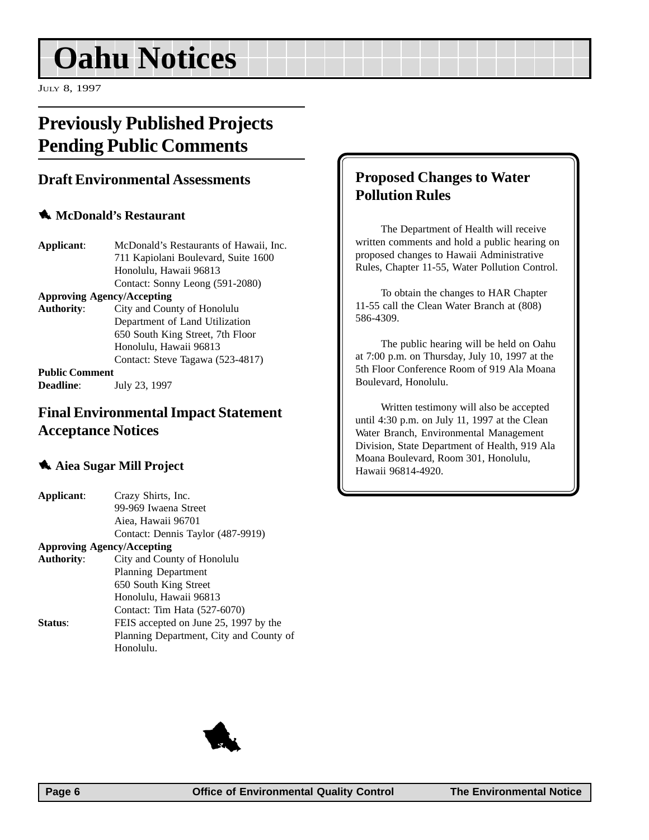# <span id="page-5-0"></span>**Oahu Notices**

JULY 8, 1997

# **Previously Published Projects Pending Public Comments**

### **Draft Environmental Assessments**

### **1** McDonald's Restaurant

| Applicant:                        | McDonald's Restaurants of Hawaii, Inc. |
|-----------------------------------|----------------------------------------|
|                                   | 711 Kapiolani Boulevard, Suite 1600    |
|                                   | Honolulu, Hawaii 96813                 |
|                                   | Contact: Sonny Leong (591-2080)        |
| <b>Approving Agency/Accepting</b> |                                        |
| <b>Authority:</b>                 | City and County of Honolulu            |
|                                   | Department of Land Utilization         |
|                                   | 650 South King Street, 7th Floor       |
|                                   | Honolulu, Hawaii 96813                 |
|                                   | Contact: Steve Tagawa (523-4817)       |
| <b>Public Comment</b>             |                                        |
| <b>Deadline:</b>                  | July 23, 1997                          |

### **Final Environmental Impact Statement Acceptance Notices**

### **4. Aiea Sugar Mill Project**

| Applicant:        | Crazy Shirts, Inc.                      |
|-------------------|-----------------------------------------|
|                   | 99-969 Iwaena Street                    |
|                   | Aiea, Hawaii 96701                      |
|                   | Contact: Dennis Taylor (487-9919)       |
|                   | <b>Approving Agency/Accepting</b>       |
| <b>Authority:</b> | City and County of Honolulu             |
|                   | Planning Department                     |
|                   | 650 South King Street                   |
|                   | Honolulu, Hawaii 96813                  |
|                   | Contact: Tim Hata (527-6070)            |
| <b>Status:</b>    | FEIS accepted on June 25, 1997 by the   |
|                   | Planning Department, City and County of |
|                   | Honolulu.                               |
|                   |                                         |

### **Proposed Changes to Water Pollution Rules**

The Department of Health will receive written comments and hold a public hearing on proposed changes to Hawaii Administrative Rules, Chapter 11-55, Water Pollution Control.

To obtain the changes to HAR Chapter 11-55 call the Clean Water Branch at (808) 586-4309.

The public hearing will be held on Oahu at 7:00 p.m. on Thursday, July 10, 1997 at the 5th Floor Conference Room of 919 Ala Moana Boulevard, Honolulu.

Written testimony will also be accepted until 4:30 p.m. on July 11, 1997 at the Clean Water Branch, Environmental Management Division, State Department of Health, 919 Ala Moana Boulevard, Room 301, Honolulu, Hawaii 96814-4920.

![](_page_5_Picture_14.jpeg)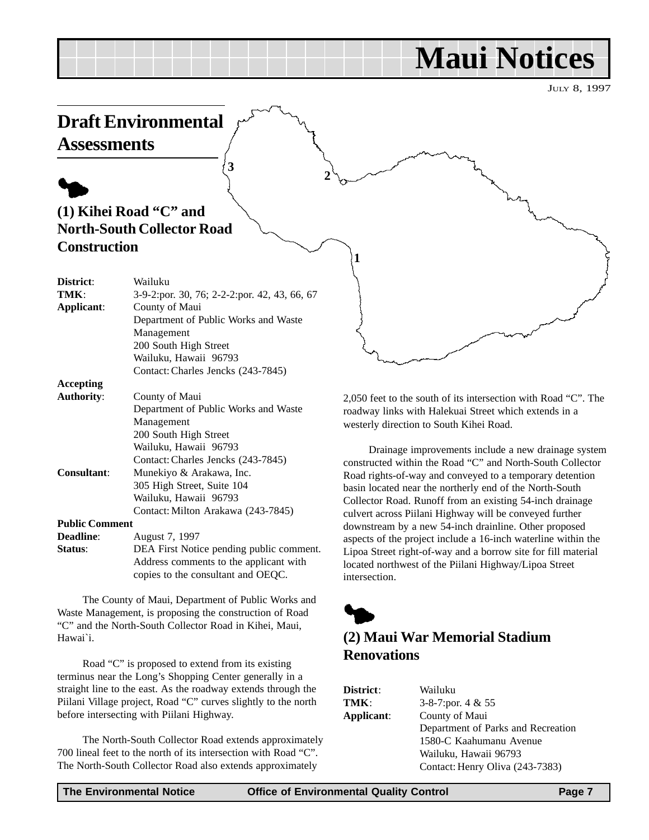# **Maui Notices**

JULY 8, 1997

# <span id="page-6-0"></span>**Draft Environmental**

**Assessments**

# $\blacklozenge$ **(1) Kihei Road "C" and North-South Collector Road Construction**

| District:             | Wailuku                                      |
|-----------------------|----------------------------------------------|
| TMK:                  | 3-9-2:por. 30, 76; 2-2-2:por. 42, 43, 66, 67 |
|                       |                                              |
| Applicant:            | County of Maui                               |
|                       | Department of Public Works and Waste         |
|                       | Management                                   |
|                       | 200 South High Street                        |
|                       | Wailuku, Hawaii 96793                        |
|                       | Contact: Charles Jencks (243-7845)           |
| Accepting             |                                              |
| <b>Authority:</b>     | County of Maui                               |
|                       | Department of Public Works and Waste         |
|                       | Management                                   |
|                       | 200 South High Street                        |
|                       | Wailuku, Hawaii 96793                        |
|                       | Contact: Charles Jencks (243-7845)           |
| <b>Consultant:</b>    | Munekiyo & Arakawa, Inc.                     |
|                       | 305 High Street, Suite 104                   |
|                       | Wailuku, Hawaii 96793                        |
|                       | Contact: Milton Arakawa (243-7845)           |
| <b>Public Comment</b> |                                              |
| <b>Deadline:</b>      | August 7, 1997                               |
| Status:               | DEA First Notice pending public comment.     |
|                       | Address comments to the applicant with       |

Address comments to the applicant with copies to the consultant and OEQC.

The County of Maui, Department of Public Works and Waste Management, is proposing the construction of Road "C" and the North-South Collector Road in Kihei, Maui, Hawai`i.

Road "C" is proposed to extend from its existing terminus near the Long's Shopping Center generally in a straight line to the east. As the roadway extends through the Piilani Village project, Road "C" curves slightly to the north before intersecting with Piilani Highway.

The North-South Collector Road extends approximately 700 lineal feet to the north of its intersection with Road "C". The North-South Collector Road also extends approximately

2,050 feet to the south of its intersection with Road "C". The roadway links with Halekuai Street which extends in a westerly direction to South Kihei Road.

Drainage improvements include a new drainage system constructed within the Road "C" and North-South Collector Road rights-of-way and conveyed to a temporary detention basin located near the northerly end of the North-South Collector Road. Runoff from an existing 54-inch drainage culvert across Piilani Highway will be conveyed further downstream by a new 54-inch drainline. Other proposed aspects of the project include a 16-inch waterline within the Lipoa Street right-of-way and a borrow site for fill material located northwest of the Piilani Highway/Lipoa Street intersection.

![](_page_6_Picture_12.jpeg)

**1**

 $\frac{3}{2}$ 

# **(2) Maui War Memorial Stadium Renovations**

| District:  | Wailuku                            |
|------------|------------------------------------|
| TMK:       | 3-8-7:por. $4 & 55$                |
| Applicant: | County of Maui                     |
|            | Department of Parks and Recreation |
|            | 1580-C Kaahumanu Avenue            |
|            | Wailuku, Hawaii 96793              |
|            | Contact: Henry Oliva (243-7383)    |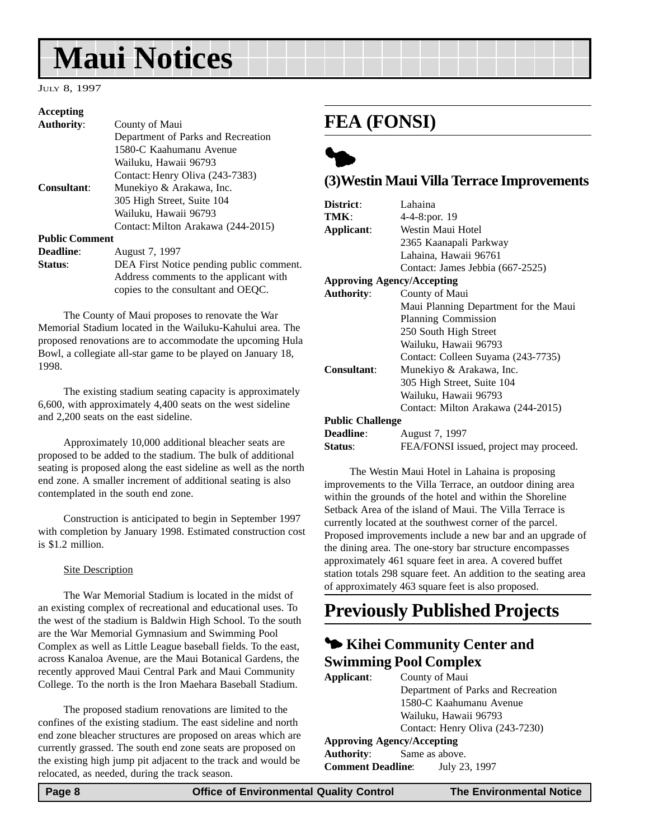# <span id="page-7-0"></span>**Maui Notices**

#### JULY 8, 1997

| Accepting             |                                          |
|-----------------------|------------------------------------------|
| <b>Authority:</b>     | County of Maui                           |
|                       | Department of Parks and Recreation       |
|                       | 1580-C Kaahumanu Avenue                  |
|                       | Wailuku, Hawaii 96793                    |
|                       | Contact: Henry Oliva (243-7383)          |
| <b>Consultant:</b>    | Munekiyo & Arakawa, Inc.                 |
|                       | 305 High Street, Suite 104               |
|                       | Wailuku, Hawaii 96793                    |
|                       | Contact: Milton Arakawa (244-2015)       |
| <b>Public Comment</b> |                                          |
| Deadline:             | August 7, 1997                           |
| Status:               | DEA First Notice pending public comment. |
|                       | Address comments to the applicant with   |

The County of Maui proposes to renovate the War Memorial Stadium located in the Wailuku-Kahului area. The proposed renovations are to accommodate the upcoming Hula Bowl, a collegiate all-star game to be played on January 18, 1998.

copies to the consultant and OEQC.

The existing stadium seating capacity is approximately 6,600, with approximately 4,400 seats on the west sideline and 2,200 seats on the east sideline.

Approximately 10,000 additional bleacher seats are proposed to be added to the stadium. The bulk of additional seating is proposed along the east sideline as well as the north end zone. A smaller increment of additional seating is also contemplated in the south end zone.

Construction is anticipated to begin in September 1997 with completion by January 1998. Estimated construction cost is \$1.2 million.

### Site Description

The War Memorial Stadium is located in the midst of an existing complex of recreational and educational uses. To the west of the stadium is Baldwin High School. To the south are the War Memorial Gymnasium and Swimming Pool Complex as well as Little League baseball fields. To the east, across Kanaloa Avenue, are the Maui Botanical Gardens, the recently approved Maui Central Park and Maui Community College. To the north is the Iron Maehara Baseball Stadium.

The proposed stadium renovations are limited to the confines of the existing stadium. The east sideline and north end zone bleacher structures are proposed on areas which are currently grassed. The south end zone seats are proposed on the existing high jump pit adjacent to the track and would be relocated, as needed, during the track season.

# **FEA (FONSI)**

![](_page_7_Picture_11.jpeg)

### **(3)Westin Maui Villa Terrace Improvements**

| District:                         | Lahaina                                |
|-----------------------------------|----------------------------------------|
| TMK:                              | 4-4-8:por. 19                          |
| Applicant:                        | Westin Maui Hotel                      |
|                                   | 2365 Kaanapali Parkway                 |
|                                   | Lahaina, Hawaii 96761                  |
|                                   | Contact: James Jebbia (667-2525)       |
| <b>Approving Agency/Accepting</b> |                                        |
| <b>Authority:</b>                 | County of Maui                         |
|                                   | Maui Planning Department for the Maui  |
|                                   | Planning Commission                    |
|                                   | 250 South High Street                  |
|                                   | Wailuku, Hawaii 96793                  |
|                                   | Contact: Colleen Suyama (243-7735)     |
| <b>Consultant:</b>                | Munekiyo & Arakawa, Inc.               |
|                                   | 305 High Street, Suite 104             |
|                                   | Wailuku, Hawaii 96793                  |
|                                   | Contact: Milton Arakawa (244-2015)     |
| <b>Public Challenge</b>           |                                        |
| <b>Deadline:</b>                  | August 7, 1997                         |
| Status:                           | FEA/FONSI issued, project may proceed. |

The Westin Maui Hotel in Lahaina is proposing improvements to the Villa Terrace, an outdoor dining area within the grounds of the hotel and within the Shoreline Setback Area of the island of Maui. The Villa Terrace is currently located at the southwest corner of the parcel. Proposed improvements include a new bar and an upgrade of the dining area. The one-story bar structure encompasses approximately 461 square feet in area. A covered buffet station totals 298 square feet. An addition to the seating area of approximately 463 square feet is also proposed.

# **Previously Published Projects**

### 3 **Kihei Community Center and Swimming Pool Complex**

| Applicant: | County of Maui                     |
|------------|------------------------------------|
|            | Department of Parks and Recreation |
|            | 1580-C Kaahumanu Avenue            |
|            | Wailuku, Hawaii 96793              |
|            | Contact: Henry Oliva (243-7230)    |
|            | Annroving Agency/Accenting         |

**Approving Age.** 

**Authority**: Same as above. **Comment Deadline**: July 23, 1997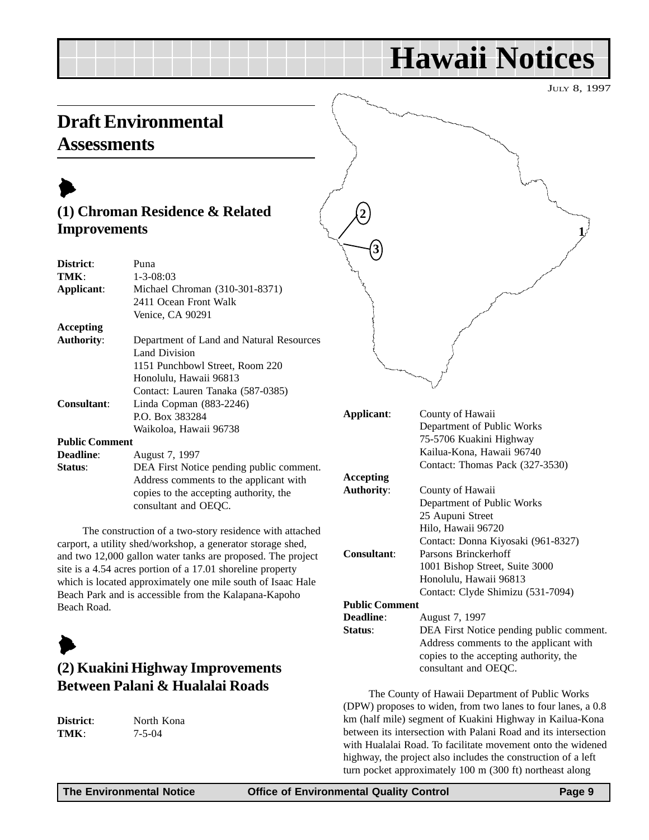# **Hawaii Notices**

JULY 8, 1997

# <span id="page-8-0"></span>**Draft Environmental Assessments**

|                       | (1) Chroman Residence & Related                                                                                                                                                                                                                     |                                       |                                                                                                                                        |
|-----------------------|-----------------------------------------------------------------------------------------------------------------------------------------------------------------------------------------------------------------------------------------------------|---------------------------------------|----------------------------------------------------------------------------------------------------------------------------------------|
| <b>Improvements</b>   |                                                                                                                                                                                                                                                     |                                       |                                                                                                                                        |
| District:<br>TMK:     | Puna<br>$1 - 3 - 08:03$                                                                                                                                                                                                                             |                                       |                                                                                                                                        |
| Applicant:            | Michael Chroman (310-301-8371)<br>2411 Ocean Front Walk<br>Venice, CA 90291                                                                                                                                                                         |                                       |                                                                                                                                        |
| <b>Accepting</b>      |                                                                                                                                                                                                                                                     |                                       |                                                                                                                                        |
| <b>Authority:</b>     | Department of Land and Natural Resources<br><b>Land Division</b><br>1151 Punchbowl Street, Room 220<br>Honolulu, Hawaii 96813<br>Contact: Lauren Tanaka (587-0385)                                                                                  |                                       |                                                                                                                                        |
| <b>Consultant:</b>    | Linda Copman (883-2246)<br>P.O. Box 383284<br>Waikoloa, Hawaii 96738                                                                                                                                                                                | Applicant:                            | County of Hawaii<br>Department of Public Works                                                                                         |
| <b>Public Comment</b> |                                                                                                                                                                                                                                                     |                                       | 75-5706 Kuakini Highway                                                                                                                |
| Deadline:<br>Status:  | August 7, 1997<br>DEA First Notice pending public comment.<br>Address comments to the applicant with<br>copies to the accepting authority, the<br>consultant and OEQC.                                                                              | <b>Accepting</b><br><b>Authority:</b> | Kailua-Kona, Hawaii 96740<br>Contact: Thomas Pack (327-3530)<br>County of Hawaii<br>Department of Public Works                         |
|                       | The construction of a two-story residence with attached<br>carport, a utility shed/workshop, a generator storage shed,<br>and two 12,000 gallon water tanks are proposed. The project<br>site is a 4.54 acres portion of a 17.01 shoreline property | <b>Consultant:</b>                    | 25 Aupuni Street<br>Hilo, Hawaii 96720<br>Contact: Donna Kiyosaki (961-8327)<br>Parsons Brinckerhoff<br>1001 Bishop Street, Suite 3000 |

site is a 4.54 acres portion of a 17.01 shoreline property which is located approximately one mile south of Isaac Hale Beach Park and is accessible from the Kalapana-Kapoho Beach Road.

![](_page_8_Picture_5.jpeg)

# **(2) Kuakini Highway Improvements Between Palani & Hualalai Roads**

**TMK**: 7-5-04

**District**: North Kona

**Status**: DEA First Notice pending public comment. Address comments to the applicant with copies to the accepting authority, the consultant and OEQC. The County of Hawaii Department of Public Works

Honolulu, Hawaii 96813

Contact: Clyde Shimizu (531-7094)

(DPW) proposes to widen, from two lanes to four lanes, a 0.8 km (half mile) segment of Kuakini Highway in Kailua-Kona between its intersection with Palani Road and its intersection with Hualalai Road. To facilitate movement onto the widened highway, the project also includes the construction of a left turn pocket approximately 100 m (300 ft) northeast along

**Public Comment**

**Deadline**: August 7, 1997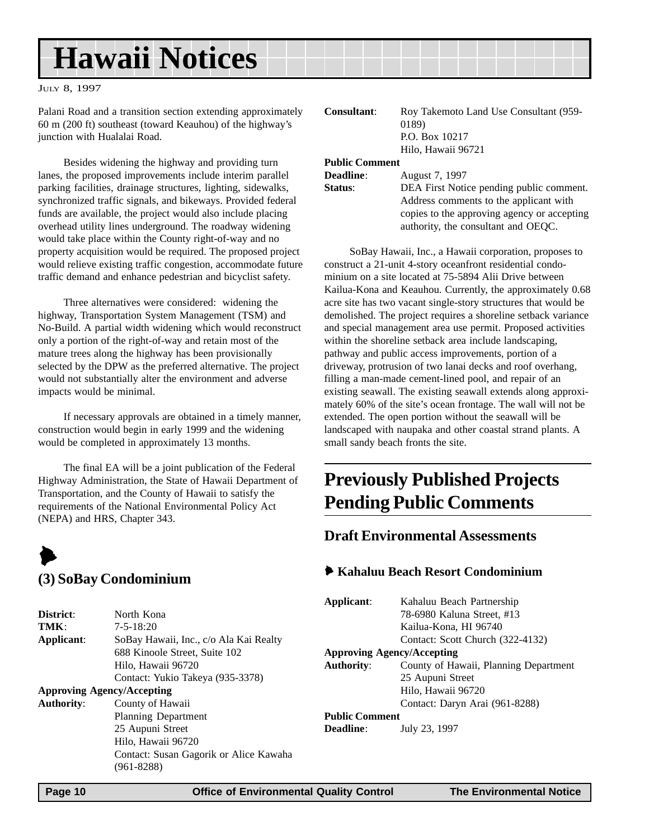# <span id="page-9-0"></span>**Hawaii Notices**

#### JULY 8, 1997

Palani Road and a transition section extending approximate 60 m (200 ft) southeast (toward Keauhou) of the highway's junction with Hualalai Road.

Besides widening the highway and providing turn lanes, the proposed improvements include interim parallel parking facilities, drainage structures, lighting, sidewalks, synchronized traffic signals, and bikeways. Provided federal funds are available, the project would also include placing overhead utility lines underground. The roadway widening would take place within the County right-of-way and no property acquisition would be required. The proposed project would relieve existing traffic congestion, accommodate future traffic demand and enhance pedestrian and bicyclist safety.

Three alternatives were considered: widening the highway, Transportation System Management (TSM) and No-Build. A partial width widening which would reconstruct only a portion of the right-of-way and retain most of the mature trees along the highway has been provisionally selected by the DPW as the preferred alternative. The project would not substantially alter the environment and adverse impacts would be minimal.

If necessary approvals are obtained in a timely manner, construction would begin in early 1999 and the widening would be completed in approximately 13 months.

The final EA will be a joint publication of the Federal Highway Administration, the State of Hawaii Department of Transportation, and the County of Hawaii to satisfy the requirements of the National Environmental Policy Act (NEPA) and HRS, Chapter 343.

# $\blacktriangleright$ **(3) SoBay Condominium**

| District:         | North Kona                             |
|-------------------|----------------------------------------|
| TMK:              | $7 - 5 - 18:20$                        |
| Applicant:        | SoBay Hawaii, Inc., c/o Ala Kai Realty |
|                   | 688 Kinoole Street, Suite 102          |
|                   | Hilo, Hawaii 96720                     |
|                   | Contact: Yukio Takeya (935-3378)       |
|                   | <b>Approving Agency/Accepting</b>      |
| <b>Authority:</b> | County of Hawaii                       |
|                   | <b>Planning Department</b>             |
|                   | 25 Aupuni Street                       |
|                   | Hilo, Hawaii 96720                     |
|                   | Contact: Susan Gagorik or Alice Kawaha |
|                   | $(961 - 8288)$                         |
|                   |                                        |

| ١y | <b>Consultant:</b> | Roy Takemoto Land Use Consultant (959-      |  |  |
|----|--------------------|---------------------------------------------|--|--|
|    |                    | 0189)                                       |  |  |
|    |                    | P.O. Box 10217                              |  |  |
|    |                    | Hilo, Hawaii 96721                          |  |  |
|    |                    | <b>Public Comment</b>                       |  |  |
|    | <b>Deadline:</b>   | August 7, 1997                              |  |  |
|    | Status:            | DEA First Notice pending public comment.    |  |  |
|    |                    | Address comments to the applicant with      |  |  |
|    |                    | copies to the approving agency or accepting |  |  |
|    |                    | authority, the consultant and OEQC.         |  |  |

SoBay Hawaii, Inc., a Hawaii corporation, proposes to construct a 21-unit 4-story oceanfront residential condominium on a site located at 75-5894 Alii Drive between Kailua-Kona and Keauhou. Currently, the approximately 0.68 acre site has two vacant single-story structures that would be demolished. The project requires a shoreline setback variance and special management area use permit. Proposed activities within the shoreline setback area include landscaping, pathway and public access improvements, portion of a driveway, protrusion of two lanai decks and roof overhang, filling a man-made cement-lined pool, and repair of an existing seawall. The existing seawall extends along approximately 60% of the site's ocean frontage. The wall will not be extended. The open portion without the seawall will be landscaped with naupaka and other coastal strand plants. A small sandy beach fronts the site.

# **Previously Published Projects Pending Public Comments**

### **Draft Environmental Assessments**

### 6 **Kahaluu Beach Resort Condominium**

| Applicant:            | Kahaluu Beach Partnership<br>78-6980 Kaluna Street, #13<br>Kailua-Kona, HI 96740 |
|-----------------------|----------------------------------------------------------------------------------|
|                       | Contact: Scott Church (322-4132)                                                 |
|                       |                                                                                  |
|                       | <b>Approving Agency/Accepting</b>                                                |
| <b>Authority:</b>     | County of Hawaii, Planning Department                                            |
|                       | 25 Aupuni Street                                                                 |
|                       | Hilo, Hawaii 96720                                                               |
|                       | Contact: Daryn Arai (961-8288)                                                   |
| <b>Public Comment</b> |                                                                                  |
| Deadline:             | July 23, 1997                                                                    |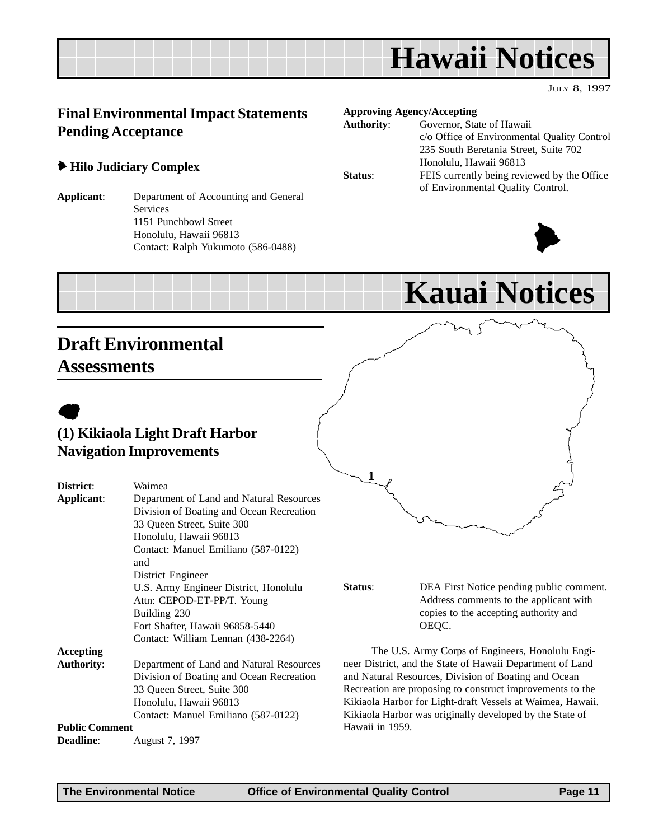# <span id="page-10-0"></span>**Hawaii Notices**

JULY 8, 1997

### **Final Environmental Impact Statements Pending Acceptance**

6 **Hilo Judiciary Complex**

**Applicant**: Department of Accounting and General Services 1151 Punchbowl Street Honolulu, Hawaii 96813 Contact: Ralph Yukumoto (586-0488)

### **Approving Agency/Accepting**

| <b>Authority:</b> | Governor, State of Hawaii                   |  |  |
|-------------------|---------------------------------------------|--|--|
|                   | c/o Office of Environmental Quality Control |  |  |
|                   | 235 South Beretania Street, Suite 702       |  |  |
|                   | Honolulu, Hawaii 96813                      |  |  |
| Status:           | FEIS currently being reviewed by the Office |  |  |
|                   | of Environmental Quality Control.           |  |  |

![](_page_10_Picture_7.jpeg)

# **Kauai Notices**

# **Draft Environmental Assessments**

# $\bullet$ **(1) Kikiaola Light Draft Harbor Navigation Improvements**

| District:<br>Applicant: | Waimea<br>Department of Land and Natural Resources<br>Division of Boating and Ocean Recreation<br>33 Queen Street, Suite 300<br>Honolulu, Hawaii 96813<br>Contact: Manuel Emiliano (587-0122)<br>and<br>District Engineer |                 |                                                                                                                                                                                                                                                                                                          |
|-------------------------|---------------------------------------------------------------------------------------------------------------------------------------------------------------------------------------------------------------------------|-----------------|----------------------------------------------------------------------------------------------------------------------------------------------------------------------------------------------------------------------------------------------------------------------------------------------------------|
|                         | U.S. Army Engineer District, Honolulu<br>Attn: CEPOD-ET-PP/T. Young<br>Building 230<br>Fort Shafter, Hawaii 96858-5440<br>Contact: William Lennan (438-2264)                                                              | Status:         | DEA First Notice pending public comment.<br>Address comments to the applicant with<br>copies to the accepting authority and<br>OEQC.                                                                                                                                                                     |
| <b>Accepting</b>        |                                                                                                                                                                                                                           |                 | The U.S. Army Corps of Engineers, Honolulu Engi-                                                                                                                                                                                                                                                         |
| <b>Authority:</b>       | Department of Land and Natural Resources<br>Division of Boating and Ocean Recreation<br>33 Queen Street, Suite 300<br>Honolulu, Hawaii 96813<br>Contact: Manuel Emiliano (587-0122)                                       |                 | neer District, and the State of Hawaii Department of Land<br>and Natural Resources, Division of Boating and Ocean<br>Recreation are proposing to construct improvements to the<br>Kikiaola Harbor for Light-draft Vessels at Waimea, Hawaii.<br>Kikiaola Harbor was originally developed by the State of |
| <b>Public Comment</b>   |                                                                                                                                                                                                                           | Hawaii in 1959. |                                                                                                                                                                                                                                                                                                          |
| <b>Deadline:</b>        | August 7, 1997                                                                                                                                                                                                            |                 |                                                                                                                                                                                                                                                                                                          |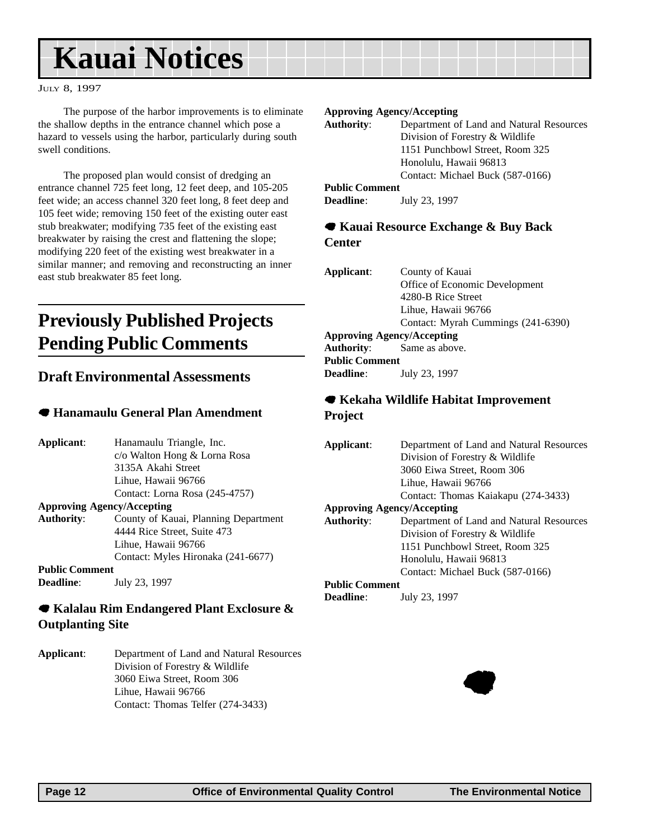# <span id="page-11-0"></span>**Kauai Notices**

#### JULY 8, 1997

The purpose of the harbor improvements is to eliminate the shallow depths in the entrance channel which pose a hazard to vessels using the harbor, particularly during south swell conditions.

The proposed plan would consist of dredging an entrance channel 725 feet long, 12 feet deep, and 105-205 feet wide; an access channel 320 feet long, 8 feet deep and 105 feet wide; removing 150 feet of the existing outer east stub breakwater; modifying 735 feet of the existing east breakwater by raising the crest and flattening the slope; modifying 220 feet of the existing west breakwater in a similar manner; and removing and reconstructing an inner east stub breakwater 85 feet long.

# **Previously Published Projects Pending Public Comments**

### **Draft Environmental Assessments**

### 7 **Hanamaulu General Plan Amendment**

**Applicant**: Hanamaulu Triangle, Inc. c/o Walton Hong & Lorna Rosa 3135A Akahi Street Lihue, Hawaii 96766 Contact: Lorna Rosa (245-4757) **Approving Agency/Accepting Authority**: County of Kauai, Planning Department 4444 Rice Street, Suite 473 Lihue, Hawaii 96766 Contact: Myles Hironaka (241-6677) **Public Comment Deadline**: July 23, 1997

### 7 **Kalalau Rim Endangered Plant Exclosure & Outplanting Site**

**Applicant**: Department of Land and Natural Resources Division of Forestry & Wildlife 3060 Eiwa Street, Room 306 Lihue, Hawaii 96766 Contact: Thomas Telfer (274-3433)

#### **Approving Agency/Accepting**

| <b>Authority:</b>     | Department of Land and Natural Resources |
|-----------------------|------------------------------------------|
|                       | Division of Forestry & Wildlife          |
|                       | 1151 Punchbowl Street, Room 325          |
|                       | Honolulu, Hawaii 96813                   |
|                       | Contact: Michael Buck (587-0166)         |
| <b>Public Comment</b> |                                          |

**Deadline**: July 23, 1997

### 7 **Kauai Resource Exchange & Buy Back Center**

| Applicant:                        | County of Kauai                    |
|-----------------------------------|------------------------------------|
|                                   | Office of Economic Development     |
|                                   | 4280-B Rice Street                 |
|                                   | Lihue, Hawaii 96766                |
|                                   | Contact: Myrah Cummings (241-6390) |
| <b>Approving Agency/Accepting</b> |                                    |
|                                   | <b>Authority:</b> Same as above.   |
| <b>Public Comment</b>             |                                    |
| <b>Deadline:</b>                  | July 23, 1997                      |
|                                   |                                    |

### 7 **Kekaha Wildlife Habitat Improvement Project**

| Applicant:                        | Department of Land and Natural Resources |  |  |
|-----------------------------------|------------------------------------------|--|--|
|                                   | Division of Forestry & Wildlife          |  |  |
|                                   | 3060 Eiwa Street, Room 306               |  |  |
|                                   | Lihue, Hawaii 96766                      |  |  |
|                                   | Contact: Thomas Kaiakapu (274-3433)      |  |  |
| <b>Approving Agency/Accepting</b> |                                          |  |  |
| <b>Authority:</b>                 | Department of Land and Natural Resources |  |  |
|                                   | Division of Forestry & Wildlife          |  |  |
|                                   | 1151 Punchbowl Street, Room 325          |  |  |
|                                   | Honolulu, Hawaii 96813                   |  |  |
|                                   | Contact: Michael Buck (587-0166)         |  |  |
| <b>Public Comment</b>             |                                          |  |  |
| <b>Deadline:</b>                  | July 23, 1997                            |  |  |

![](_page_11_Picture_17.jpeg)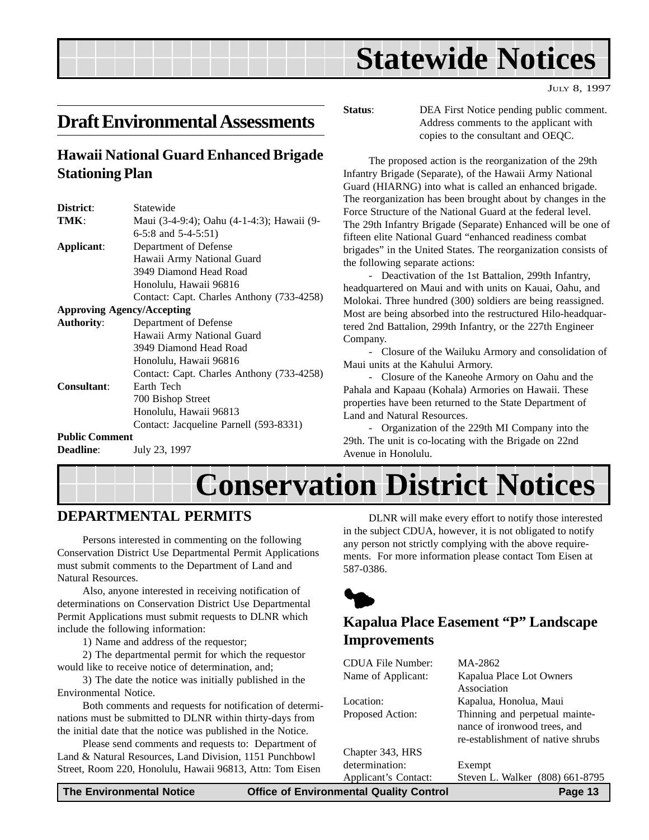# **Statewide Notices**

JULY 8, 1997

# <span id="page-12-0"></span>**Draft Environmental Assessments**

### **Hawaii National Guard Enhanced Brigade Stationing Plan**

| District:             | Statewide                                  |
|-----------------------|--------------------------------------------|
| TMK:                  | Maui (3-4-9:4); Oahu (4-1-4:3); Hawaii (9- |
|                       | $6-5:8$ and $5-4-5:51$ )                   |
| Applicant:            | Department of Defense                      |
|                       | Hawaii Army National Guard                 |
|                       | 3949 Diamond Head Road                     |
|                       | Honolulu, Hawaii 96816                     |
|                       | Contact: Capt. Charles Anthony (733-4258)  |
|                       | <b>Approving Agency/Accepting</b>          |
| <b>Authority:</b>     | Department of Defense                      |
|                       | Hawaii Army National Guard                 |
|                       | 3949 Diamond Head Road                     |
|                       | Honolulu, Hawaii 96816                     |
|                       | Contact: Capt. Charles Anthony (733-4258)  |
| <b>Consultant:</b>    | Earth Tech                                 |
|                       | 700 Bishop Street                          |
|                       | Honolulu, Hawaii 96813                     |
|                       | Contact: Jacqueline Parnell (593-8331)     |
| <b>Public Comment</b> |                                            |

**Status**: DEA First Notice pending public comment. Address comments to the applicant with copies to the consultant and OEQC.

The proposed action is the reorganization of the 29th Infantry Brigade (Separate), of the Hawaii Army National Guard (HIARNG) into what is called an enhanced brigade. The reorganization has been brought about by changes in the Force Structure of the National Guard at the federal level. The 29th Infantry Brigade (Separate) Enhanced will be one of fifteen elite National Guard "enhanced readiness combat brigades" in the United States. The reorganization consists of the following separate actions:

- Deactivation of the 1st Battalion, 299th Infantry, headquartered on Maui and with units on Kauai, Oahu, and Molokai. Three hundred (300) soldiers are being reassigned. Most are being absorbed into the restructured Hilo-headquartered 2nd Battalion, 299th Infantry, or the 227th Engineer Company.

- Closure of the Wailuku Armory and consolidation of Maui units at the Kahului Armory.

- Closure of the Kaneohe Armory on Oahu and the Pahala and Kapaau (Kohala) Armories on Hawaii. These properties have been returned to the State Department of Land and Natural Resources.

- Organization of the 229th MI Company into the 29th. The unit is co-locating with the Brigade on 22nd Avenue in Honolulu.

# **Conservation District Notices**

### **DEPARTMENTAL PERMITS**

**Deadline**: July 23, 1997

Persons interested in commenting on the following Conservation District Use Departmental Permit Applications must submit comments to the Department of Land and Natural Resources.

Also, anyone interested in receiving notification of determinations on Conservation District Use Departmental Permit Applications must submit requests to DLNR which include the following information:

1) Name and address of the requestor;

2) The departmental permit for which the requestor would like to receive notice of determination, and;

3) The date the notice was initially published in the Environmental Notice.

Both comments and requests for notification of determinations must be submitted to DLNR within thirty-days from the initial date that the notice was published in the Notice.

Please send comments and requests to: Department of Land & Natural Resources, Land Division, 1151 Punchbowl Street, Room 220, Honolulu, Hawaii 96813, Attn: Tom Eisen

DLNR will make every effort to notify those interested in the subject CDUA, however, it is not obligated to notify any person not strictly complying with the above requirements. For more information please contact Tom Eisen at 587-0386.

![](_page_12_Picture_22.jpeg)

### **Kapalua Place Easement "P" Landscape Improvements**

| <b>CDUA File Number:</b> | MA-2862                           |
|--------------------------|-----------------------------------|
| Name of Applicant:       | Kapalua Place Lot Owners          |
|                          | Association                       |
| Location:                | Kapalua, Honolua, Maui            |
| Proposed Action:         | Thinning and perpetual mainte-    |
|                          | nance of ironwood trees, and      |
|                          | re-establishment of native shrubs |
| Chapter 343, HRS         |                                   |
| determination:           | Exempt                            |
| Applicant's Contact:     | Steven L. Walker (808) 661-8795   |

**The Environmental Notice Office of Environmental Quality Control Page 13**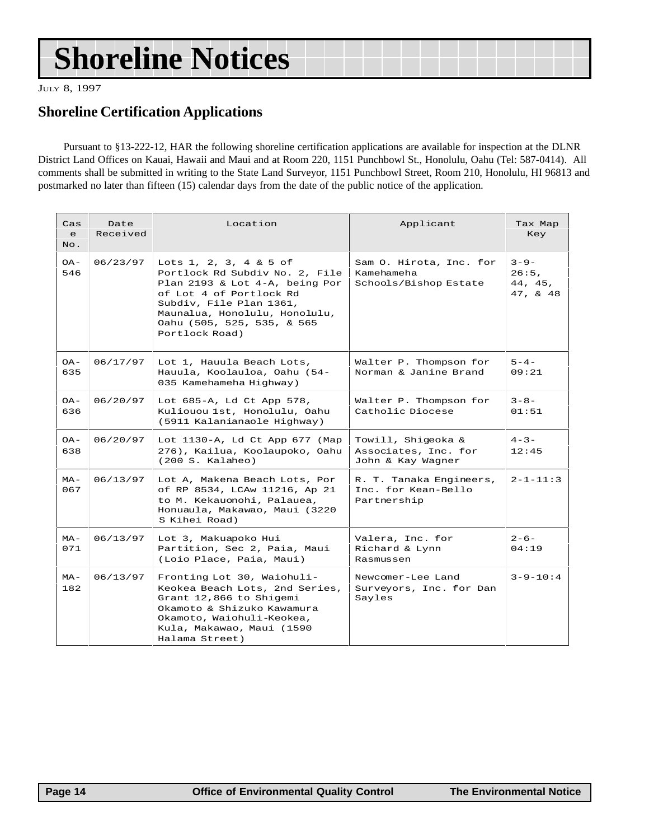# **Shoreline Notices**

JULY 8, 1997

### **Shoreline Certification Applications**

Pursuant to §13-222-12, HAR the following shoreline certification applications are available for inspection at the DLNR District Land Offices on Kauai, Hawaii and Maui and at Room 220, 1151 Punchbowl St., Honolulu, Oahu (Tel: 587-0414). All comments shall be submitted in writing to the State Land Surveyor, 1151 Punchbowl Street, Room 210, Honolulu, HI 96813 and postmarked no later than fifteen (15) calendar days from the date of the public notice of the application.

| Cas<br>e<br>No. | Date<br>Received | Location                                                                                                                                                                                                                          | Applicant                                                       | Tax Map<br>Key                               |
|-----------------|------------------|-----------------------------------------------------------------------------------------------------------------------------------------------------------------------------------------------------------------------------------|-----------------------------------------------------------------|----------------------------------------------|
| $OA -$<br>546   | 06/23/97         | Lots 1, 2, 3, 4 & 5 of<br>Portlock Rd Subdiv No. 2, File<br>Plan 2193 & Lot 4-A, being Por<br>of Lot 4 of Portlock Rd<br>Subdiv, File Plan 1361,<br>Maunalua, Honolulu, Honolulu,<br>Oahu (505, 525, 535, & 565<br>Portlock Road) | Sam O. Hirota, Inc. for<br>Kamehameha<br>Schools/Bishop Estate  | $3 - 9 -$<br>$26:5$ ,<br>44, 45,<br>47, & 48 |
| $OA -$<br>635   | 06/17/97         | Lot 1, Hauula Beach Lots,<br>Hauula, Koolauloa, Oahu (54-<br>035 Kamehameha Highway)                                                                                                                                              | Walter P. Thompson for<br>Norman & Janine Brand                 | $5 - 4 -$<br>09:21                           |
| $OA -$<br>636   | 06/20/97         | Lot 685-A, Ld Ct App 578,<br>Kuliouou 1st, Honolulu, Oahu<br>(5911 Kalanianaole Highway)                                                                                                                                          | Walter P. Thompson for<br>Catholic Diocese                      | $3 - 8 -$<br>01:51                           |
| $OA -$<br>638   | 06/20/97         | Lot 1130-A, Ld Ct App 677 (Map<br>276), Kailua, Koolaupoko, Oahu<br>(200 S. Kalaheo)                                                                                                                                              | Towill, Shigeoka &<br>Associates, Inc. for<br>John & Kay Wagner | $4 - 3 -$<br>12:45                           |
| $MA-$<br>067    | 06/13/97         | Lot A, Makena Beach Lots, Por<br>of RP 8534, LCAw 11216, Ap 21<br>to M. Kekauonohi, Palauea,<br>Honuaula, Makawao, Maui (3220<br>S Kihei Road)                                                                                    | R. T. Tanaka Engineers,<br>Inc. for Kean-Bello<br>Partnership   | $2 - 1 - 11:3$                               |
| $MA-$<br>071    | 06/13/97         | Lot 3, Makuapoko Hui<br>Partition, Sec 2, Paia, Maui<br>(Loio Place, Paia, Maui)                                                                                                                                                  | Valera, Inc. for<br>Richard & Lynn<br>Rasmussen                 | $2 - 6 -$<br>04:19                           |
| $MA-$<br>182    | 06/13/97         | Fronting Lot 30, Waiohuli-<br>Keokea Beach Lots, 2nd Series,<br>Grant 12,866 to Shigemi<br>Okamoto & Shizuko Kawamura<br>Okamoto, Waiohuli-Keokea,<br>Kula, Makawao, Maui (1590<br>Halama Street)                                 | Newcomer-Lee Land<br>Surveyors, Inc. for Dan<br>Sayles          | $3 - 9 - 10:4$                               |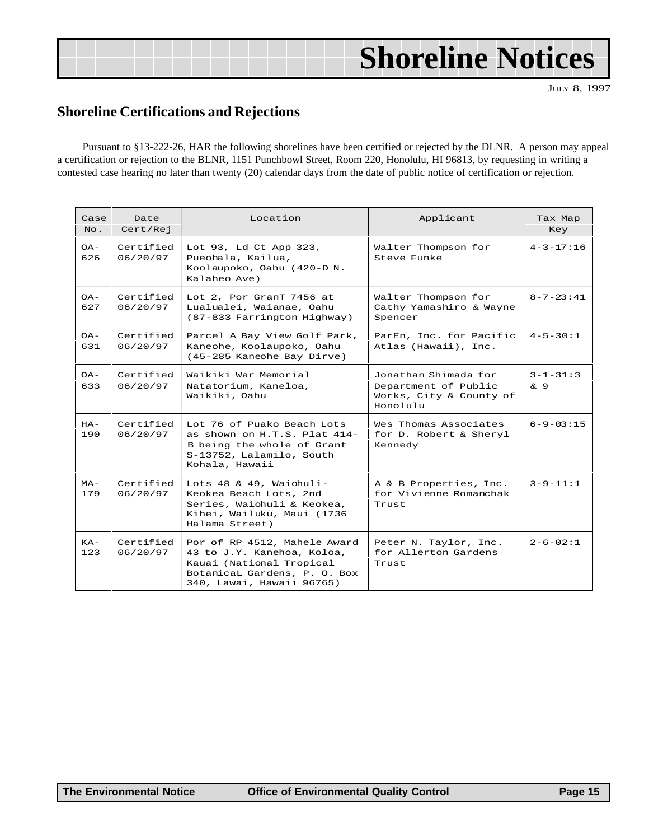# <span id="page-14-0"></span>**Shoreline Notices**

JULY 8, 1997

### **Shoreline Certifications and Rejections**

Pursuant to §13-222-26, HAR the following shorelines have been certified or rejected by the DLNR. A person may appeal a certification or rejection to the BLNR, 1151 Punchbowl Street, Room 220, Honolulu, HI 96813, by requesting in writing a contested case hearing no later than twenty (20) calendar days from the date of public notice of certification or rejection.

| Case<br>No.   | Date<br>Cert/Rej      | Location                                                                                                                                            | Applicant                                                                           | Tax Map<br>Key        |
|---------------|-----------------------|-----------------------------------------------------------------------------------------------------------------------------------------------------|-------------------------------------------------------------------------------------|-----------------------|
| $OA -$<br>626 | Certified<br>06/20/97 | Lot 93, Ld Ct App 323,<br>Pueohala, Kailua,<br>Koolaupoko, Oahu (420-D N.<br>Kalaheo Ave)                                                           | Walter Thompson for<br>Steve Funke                                                  | $4 - 3 - 17:16$       |
| $OA -$<br>627 | Certified<br>06/20/97 | Lot 2, Por GranT 7456 at<br>Lualualei, Waianae, Oahu<br>(87-833 Farrington Highway)                                                                 | Walter Thompson for<br>Cathy Yamashiro & Wayne<br>Spencer                           | $8 - 7 - 23:41$       |
| $OA -$<br>631 | Certified<br>06/20/97 | Parcel A Bay View Golf Park,<br>Kaneohe, Koolaupoko, Oahu<br>(45-285 Kaneohe Bay Dirve)                                                             | ParEn, Inc. for Pacific<br>Atlas (Hawaii), Inc.                                     | $4 - 5 - 30:1$        |
| $OA -$<br>633 | Certified<br>06/20/97 | Waikiki War Memorial<br>Natatorium, Kaneloa,<br>Waikiki, Oahu                                                                                       | Jonathan Shimada for<br>Department of Public<br>Works, City & County of<br>Honolulu | $3 - 1 - 31:3$<br>& 9 |
| $HA-$<br>190  | Certified<br>06/20/97 | Lot 76 of Puako Beach Lots<br>as shown on H.T.S. Plat 414-<br>B being the whole of Grant<br>S-13752, Lalamilo, South<br>Kohala, Hawaii              | Wes Thomas Associates<br>for D. Robert & Sheryl<br>Kennedy                          | $6 - 9 - 03:15$       |
| $MA-$<br>179  | Certified<br>06/20/97 | Lots 48 & 49, Waiohuli-<br>Keokea Beach Lots, 2nd<br>Series, Waichuli & Keokea,<br>Kihei, Wailuku, Maui (1736<br>Halama Street)                     | A & B Properties, Inc.<br>for Vivienne Romanchak<br>Trust.                          | $3 - 9 - 11:1$        |
| $KA-$<br>123  | Certified<br>06/20/97 | Por of RP 4512, Mahele Award<br>43 to J.Y. Kanehoa, Koloa,<br>Kauai (National Tropical<br>BotanicaL Gardens, P. O. Box<br>340, Lawai, Hawaii 96765) | Peter N. Taylor, Inc.<br>for Allerton Gardens<br>Trust.                             | $2 - 6 - 02:1$        |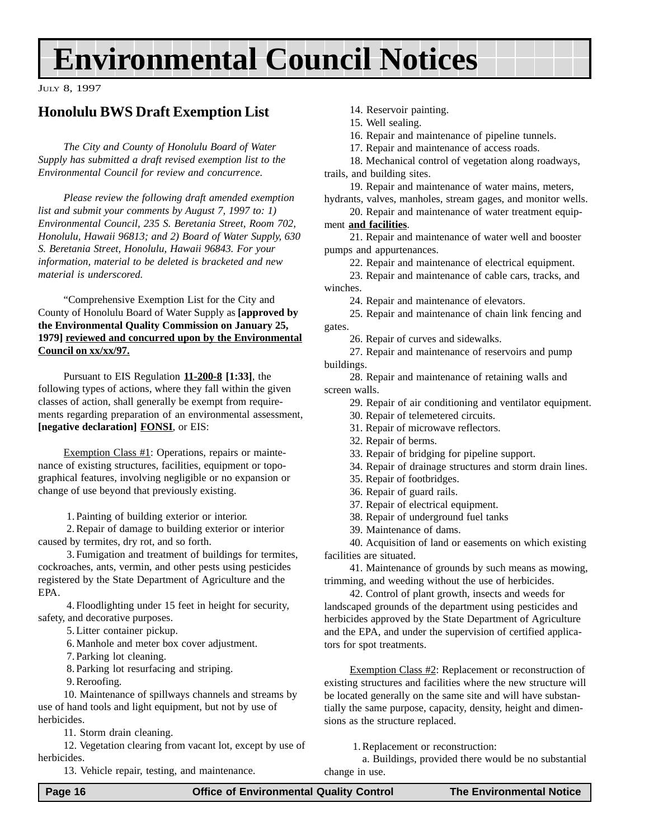# <span id="page-15-0"></span>**Environmental Council Notices**

JULY 8, 1997

### **Honolulu BWS Draft Exemption List**

*The City and County of Honolulu Board of Water Supply has submitted a draft revised exemption list to the Environmental Council for review and concurrence.*

*Please review the following draft amended exemption list and submit your comments by August 7, 1997 to: 1) Environmental Council, 235 S. Beretania Street, Room 702, Honolulu, Hawaii 96813; and 2) Board of Water Supply, 630 S. Beretania Street, Honolulu, Hawaii 96843. For your information, material to be deleted is bracketed and new material is underscored.*

"Comprehensive Exemption List for the City and County of Honolulu Board of Water Supply as **[approved by the Environmental Quality Commission on January 25, 1979] reviewed and concurred upon by the Environmental Council on xx/xx/97.**

Pursuant to EIS Regulation **11-200-8 [1:33]**, the following types of actions, where they fall within the given classes of action, shall generally be exempt from requirements regarding preparation of an environmental assessment, **[negative declaration] FONSI**, or EIS:

Exemption Class #1: Operations, repairs or maintenance of existing structures, facilities, equipment or topographical features, involving negligible or no expansion or change of use beyond that previously existing.

1. Painting of building exterior or interior.

 2. Repair of damage to building exterior or interior caused by termites, dry rot, and so forth.

 3. Fumigation and treatment of buildings for termites, cockroaches, ants, vermin, and other pests using pesticides registered by the State Department of Agriculture and the EPA.

 4. Floodlighting under 15 feet in height for security, safety, and decorative purposes.

5. Litter container pickup.

6. Manhole and meter box cover adjustment.

7. Parking lot cleaning.

8. Parking lot resurfacing and striping.

9. Reroofing.

10. Maintenance of spillways channels and streams by use of hand tools and light equipment, but not by use of herbicides.

11. Storm drain cleaning.

12. Vegetation clearing from vacant lot, except by use of herbicides.

13. Vehicle repair, testing, and maintenance.

- 14. Reservoir painting.
- 15. Well sealing.
- 16. Repair and maintenance of pipeline tunnels.
- 17. Repair and maintenance of access roads.

18. Mechanical control of vegetation along roadways, trails, and building sites.

19. Repair and maintenance of water mains, meters,

hydrants, valves, manholes, stream gages, and monitor wells. 20. Repair and maintenance of water treatment equip-

ment **and facilities**.

21. Repair and maintenance of water well and booster pumps and appurtenances.

22. Repair and maintenance of electrical equipment.

23. Repair and maintenance of cable cars, tracks, and winches.

24. Repair and maintenance of elevators.

25. Repair and maintenance of chain link fencing and gates.

26. Repair of curves and sidewalks.

27. Repair and maintenance of reservoirs and pump buildings.

28. Repair and maintenance of retaining walls and screen walls.

29. Repair of air conditioning and ventilator equipment.

30. Repair of telemetered circuits.

31. Repair of microwave reflectors.

32. Repair of berms.

33. Repair of bridging for pipeline support.

34. Repair of drainage structures and storm drain lines.

35. Repair of footbridges.

36. Repair of guard rails.

37. Repair of electrical equipment.

- 38. Repair of underground fuel tanks
- 39. Maintenance of dams.

40. Acquisition of land or easements on which existing facilities are situated.

41. Maintenance of grounds by such means as mowing, trimming, and weeding without the use of herbicides.

42. Control of plant growth, insects and weeds for landscaped grounds of the department using pesticides and herbicides approved by the State Department of Agriculture and the EPA, and under the supervision of certified applicators for spot treatments.

Exemption Class #2: Replacement or reconstruction of existing structures and facilities where the new structure will be located generally on the same site and will have substantially the same purpose, capacity, density, height and dimensions as the structure replaced.

1. Replacement or reconstruction:

a. Buildings, provided there would be no substantial change in use.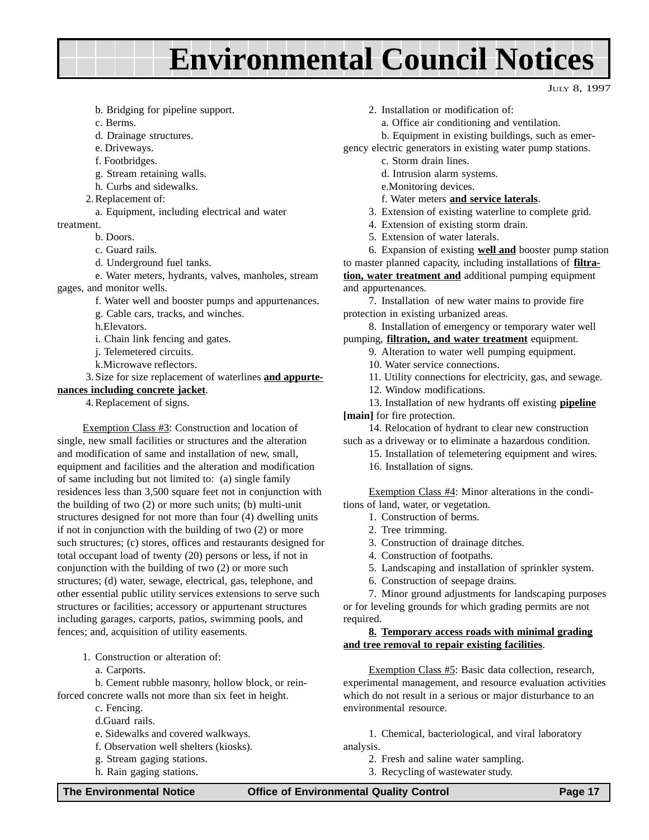# **Environmental Council Notices**

#### JULY 8, 1997

- b. Bridging for pipeline support.
- c. Berms.
- d. Drainage structures.
- e. Driveways.
- f. Footbridges.
- g. Stream retaining walls.
- h. Curbs and sidewalks.
- 2. Replacement of:

a. Equipment, including electrical and water

treatment.

- b. Doors.
- c. Guard rails.
- d. Underground fuel tanks.
- e. Water meters, hydrants, valves, manholes, stream gages, and monitor wells.
	- f. Water well and booster pumps and appurtenances.
	- g. Cable cars, tracks, and winches.
	- h.Elevators.

i. Chain link fencing and gates.

- j. Telemetered circuits.
- k.Microwave reflectors.

 3. Size for size replacement of waterlines **and appurtenances including concrete jacket**.

4. Replacement of signs.

Exemption Class #3: Construction and location of single, new small facilities or structures and the alteration and modification of same and installation of new, small, equipment and facilities and the alteration and modification of same including but not limited to: (a) single family residences less than 3,500 square feet not in conjunction with the building of two (2) or more such units; (b) multi-unit structures designed for not more than four (4) dwelling units if not in conjunction with the building of two (2) or more such structures; (c) stores, offices and restaurants designed for total occupant load of twenty (20) persons or less, if not in conjunction with the building of two (2) or more such structures; (d) water, sewage, electrical, gas, telephone, and other essential public utility services extensions to serve such structures or facilities; accessory or appurtenant structures including garages, carports, patios, swimming pools, and fences; and, acquisition of utility easements.

- 1. Construction or alteration of:
	- a. Carports.

b. Cement rubble masonry, hollow block, or reinforced concrete walls not more than six feet in height.

- c. Fencing.
- d.Guard rails.
- e. Sidewalks and covered walkways.
- f. Observation well shelters (kiosks).
- g. Stream gaging stations.
- h. Rain gaging stations.

- 2. Installation or modification of:
	- a. Office air conditioning and ventilation.
- b. Equipment in existing buildings, such as emer-

gency electric generators in existing water pump stations.

- c. Storm drain lines.
- d. Intrusion alarm systems.
- e.Monitoring devices.
- f. Water meters **and service laterals**.
- 3. Extension of existing waterline to complete grid.
- 4. Extension of existing storm drain.
- 5. Extension of water laterals.

6. Expansion of existing **well and** booster pump station to master planned capacity, including installations of **filtration, water treatment and** additional pumping equipment and appurtenances.

7. Installation of new water mains to provide fire protection in existing urbanized areas.

8. Installation of emergency or temporary water well pumping, **filtration, and water treatment** equipment.

- 9. Alteration to water well pumping equipment.
- 10. Water service connections.
- 11. Utility connections for electricity, gas, and sewage.
- 12. Window modifications.
- 13. Installation of new hydrants off existing **pipeline**

**[main]** for fire protection.

14. Relocation of hydrant to clear new construction such as a driveway or to eliminate a hazardous condition.

15. Installation of telemetering equipment and wires. 16. Installation of signs.

Exemption Class #4: Minor alterations in the conditions of land, water, or vegetation.

- 1. Construction of berms.
- 2. Tree trimming.
- 3. Construction of drainage ditches.
- 4. Construction of footpaths.
- 5. Landscaping and installation of sprinkler system.
- 6. Construction of seepage drains.

7. Minor ground adjustments for landscaping purposes or for leveling grounds for which grading permits are not required.

#### **8. Temporary access roads with minimal grading and tree removal to repair existing facilities**.

Exemption Class #5: Basic data collection, research, experimental management, and resource evaluation activities which do not result in a serious or major disturbance to an environmental resource.

1. Chemical, bacteriological, and viral laboratory analysis.

- 2. Fresh and saline water sampling.
- 3. Recycling of wastewater study.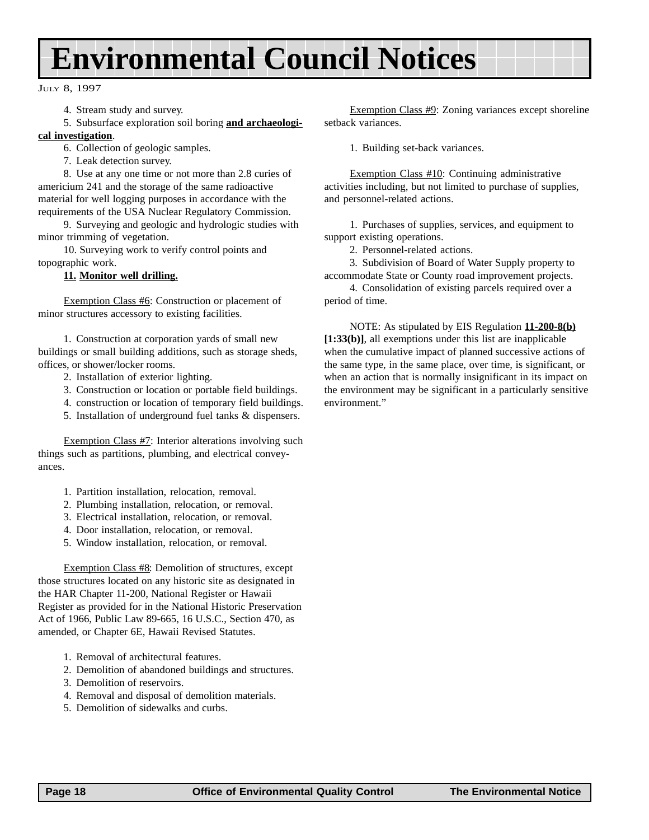# **Environmental Council Notices**

#### JULY 8, 1997

4. Stream study and survey.

5. Subsurface exploration soil boring **and archaeologi-**

#### **cal investigation**.

6. Collection of geologic samples.

7. Leak detection survey.

8. Use at any one time or not more than 2.8 curies of americium 241 and the storage of the same radioactive material for well logging purposes in accordance with the requirements of the USA Nuclear Regulatory Commission.

9. Surveying and geologic and hydrologic studies with minor trimming of vegetation.

10. Surveying work to verify control points and topographic work.

#### **11. Monitor well drilling.**

Exemption Class #6: Construction or placement of minor structures accessory to existing facilities.

1. Construction at corporation yards of small new buildings or small building additions, such as storage sheds, offices, or shower/locker rooms.

- 2. Installation of exterior lighting.
- 3. Construction or location or portable field buildings.
- 4. construction or location of temporary field buildings.
- 5. Installation of underground fuel tanks & dispensers.

Exemption Class #7: Interior alterations involving such things such as partitions, plumbing, and electrical conveyances.

- 1. Partition installation, relocation, removal.
- 2. Plumbing installation, relocation, or removal.
- 3. Electrical installation, relocation, or removal.
- 4. Door installation, relocation, or removal.
- 5. Window installation, relocation, or removal.

Exemption Class #8: Demolition of structures, except those structures located on any historic site as designated in the HAR Chapter 11-200, National Register or Hawaii Register as provided for in the National Historic Preservation Act of 1966, Public Law 89-665, 16 U.S.C., Section 470, as amended, or Chapter 6E, Hawaii Revised Statutes.

- 1. Removal of architectural features.
- 2. Demolition of abandoned buildings and structures.
- 3. Demolition of reservoirs.
- 4. Removal and disposal of demolition materials.
- 5. Demolition of sidewalks and curbs.

Exemption Class #9: Zoning variances except shoreline setback variances.

1. Building set-back variances.

Exemption Class #10: Continuing administrative activities including, but not limited to purchase of supplies, and personnel-related actions.

1. Purchases of supplies, services, and equipment to support existing operations.

2. Personnel-related actions.

3. Subdivision of Board of Water Supply property to accommodate State or County road improvement projects.

4. Consolidation of existing parcels required over a period of time.

NOTE: As stipulated by EIS Regulation **11-200-8(b) [1:33(b)]**, all exemptions under this list are inapplicable when the cumulative impact of planned successive actions of the same type, in the same place, over time, is significant, or when an action that is normally insignificant in its impact on the environment may be significant in a particularly sensitive environment."